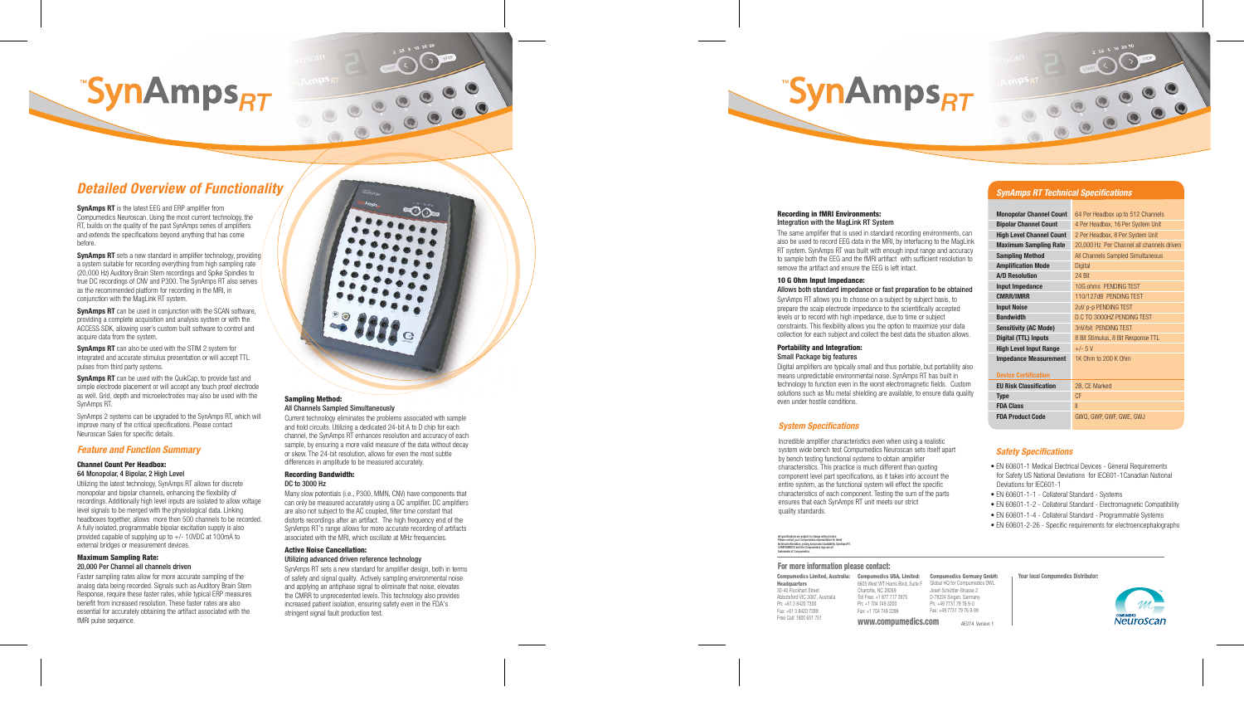# **SynAmps<sub>RT</sub>**

# *Detailed Overview of Functionality*

**SynAmps RT** is the latest EEG and ERP amplifier from Compumedics Neuroscan. Using the most current technology, the RT, builds on the quality of the past SynAmps series of amplifiers and extends the specifications beyond anything that has come before.

**SynAmps RT** sets a new standard in amplifier technology, providing a system suitable for recording everything from high sampling rate (20,000 Hz) Auditory Brain Stem recordings and Spike Spindles to true DC recordings of CNV and P300. The SynAmps RT also serves as the recommended platform for recording in the MRI, in conjunction with the MagLink RT system.

**SynAmps RT** can be used in conjunction with the SCAN software, providing a complete acquisition and analysis system or with the ACCESS SDK, allowing user's custom built software to control and acquire data from the system.

**SynAmps RT** can also be used with the STIM 2 system for integrated and accurate stimulus presentation or will accept TTL pulses from third party systems.

**SynAmps RT** can be used with the QuikCap, to provide fast and simple electrode placement or will accept any touch proof electrode as well. Grid, depth and microelectrodes may also be used with the SynAmps RT.

SynAmps 2 systems can be upgraded to the SynAmps RT, which will improve many of the critical specifications. Please contact Neuroscan Sales for specific details.

## *Feature and Function Summary*

#### **Channel Count Per Headbox:**  64 Monopolar, 4 Bipolar, 2 High Level

Utilizing the latest technology, SynAmps RT allows for discrete monopolar and bipolar channels, enhancing the flexibility of recordings. Additionally high level inputs are isolated to allow voltage level signals to be merged with the physiological data. Linking headboxes together, allows more then 500 channels to be recorded. A fully isolated, programmable bipolar excitation supply is also provided capable of supplying up to +/- 10VDC at 100mA to external bridges or measurement devices.

### **Maximum Sampling Rate:**  20,000 Per Channel all channels driven

Faster sampling rates allow for more accurate sampling of the analog data being recorded. Signals such as Auditory Brain Stem Response, require these faster rates, while typical ERP measures benefit from increased resolution. These faster rates are also essential for accurately obtaining the artifact associated with the fMRI pulse sequence.



#### **Sampling Method:**  All Channels Sampled Simultaneously

Current technology eliminates the problems associated with sample and hold circuits. Utilizing a dedicated 24-bit A to D chip for each channel, the SynAmps RT enhances resolution and accuracy of each sample, by ensuring a more valid measure of the data without decay or skew. The 24-bit resolution, allows for even the most subtle differences in amplitude to be measured accurately.

#### **Recording Bandwidth:** DC to 3000 Hz

Many slow potentials (i.e., P300, MMN, CNV) have components that can only be measured accurately using a DC amplifier. DC amplifiers are also not subject to the AC coupled, filter time constant that distorts recordings after an artifact. The high frequency end of the SynAmps RT's range allows for more accurate recording of artifacts associated with the MRI, which oscillate at MHz frequencies.

#### **Active Noise Cancellation:**  Utilizing advanced driven reference technology

SynAmps RT sets a new standard for amplifier design, both in terms of safety and signal quality. Actively sampling environmental noise and applying an antiphase signal to eliminate that noise, elevates the CMRR to unprecedented levels. This technology also provides increased patient isolation, ensuring safety even in the FDA's stringent signal fault production test.